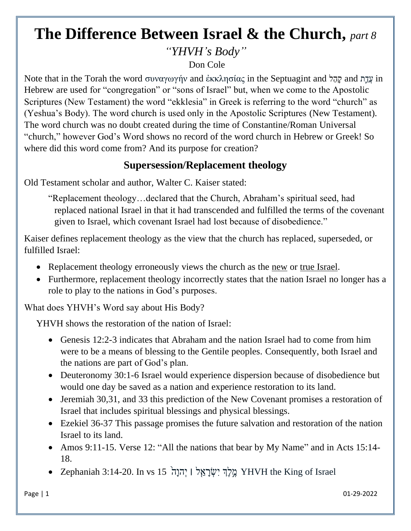## **The Difference Between Israel & the Church,** *part 8 "YHVH's Body"*

Don Cole

Note that in the Torah the word συναγωγήν and ἐκκλησίας in the Septuagint and לַהָק and תַ֛ ַדֲע in Hebrew are used for "congregation" or "sons of Israel" but, when we come to the Apostolic Scriptures (New Testament) the word "ekklesia" in Greek is referring to the word "church" as (Yeshua's Body). The word church is used only in the Apostolic Scriptures (New Testament). The word church was no doubt created during the time of Constantine/Roman Universal "church," however God's Word shows no record of the word church in Hebrew or Greek! So where did this word come from? And its purpose for creation?

## **Supersession/Replacement theology**

Old Testament scholar and author, Walter C. Kaiser stated:

"Replacement theology…declared that the Church, Abraham's spiritual seed, had replaced national Israel in that it had transcended and fulfilled the terms of the covenant given to Israel, which covenant Israel had lost because of disobedience."

Kaiser defines replacement theology as the view that the church has replaced, superseded, or fulfilled Israel:

- Replacement theology erroneously views the church as the new or true Israel.
- Furthermore, replacement theology incorrectly states that the nation Israel no longer has a role to play to the nations in God's purposes.

What does YHVH's Word say about His Body?

YHVH shows the restoration of the nation of Israel:

- Genesis 12:2-3 indicates that Abraham and the nation Israel had to come from him were to be a means of blessing to the Gentile peoples. Consequently, both Israel and the nations are part of God's plan.
- Deuteronomy 30:1-6 Israel would experience dispersion because of disobedience but would one day be saved as a nation and experience restoration to its land.
- Jeremiah 30,31, and 33 this prediction of the New Covenant promises a restoration of Israel that includes spiritual blessings and physical blessings.
- Ezekiel 36-37 This passage promises the future salvation and restoration of the nation Israel to its land.
- Amos 9:11-15. Verse 12: "All the nations that bear by My Name" and in Acts 15:14-18.
- Israel of King the YHVH מֶ ֶ֣לְֶך יִשְׂ רָ א ֵ֤ל ׀ יְׂהוָה 15 vs In 3:14-20. Zephaniah•